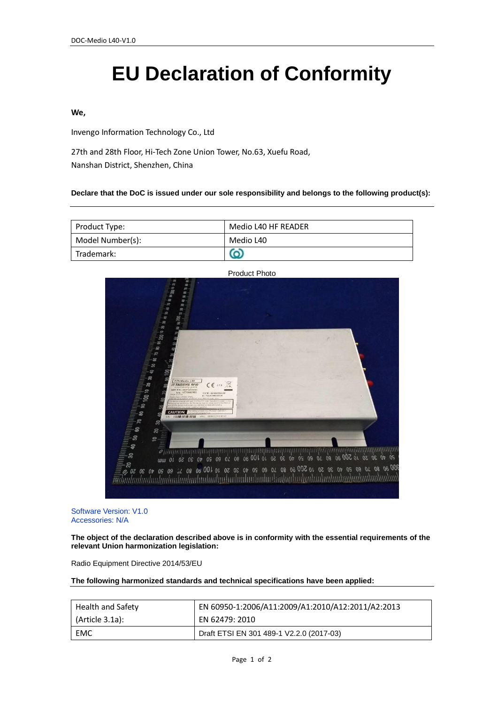# **EU Declaration of Conformity**

#### **We,**

Invengo Information Technology Co., Ltd

27th and 28th Floor, Hi-Tech Zone Union Tower, No.63, Xuefu Road, Nanshan District, Shenzhen, China

#### **Declare that the DoC is issued under our sole responsibility and belongs to the following product(s):**

| Product Type:    | Medio L40 HF READER |
|------------------|---------------------|
| Model Number(s): | Medio L40           |
| Trademark:       |                     |



Product Photo

Software Version: V1.0 Accessories: N/A

**The object of the declaration described above is in conformity with the essential requirements of the relevant Union harmonization legislation:**

Radio Equipment Directive 2014/53/EU

**The following harmonized standards and technical specifications have been applied:**

| <b>Health and Safety</b> | EN 60950-1:2006/A11:2009/A1:2010/A12:2011/A2:2013 |
|--------------------------|---------------------------------------------------|
| (Article 3.1a):          | EN 62479: 2010                                    |
| EMC                      | Draft ETSI EN 301 489-1 V2.2.0 (2017-03)          |